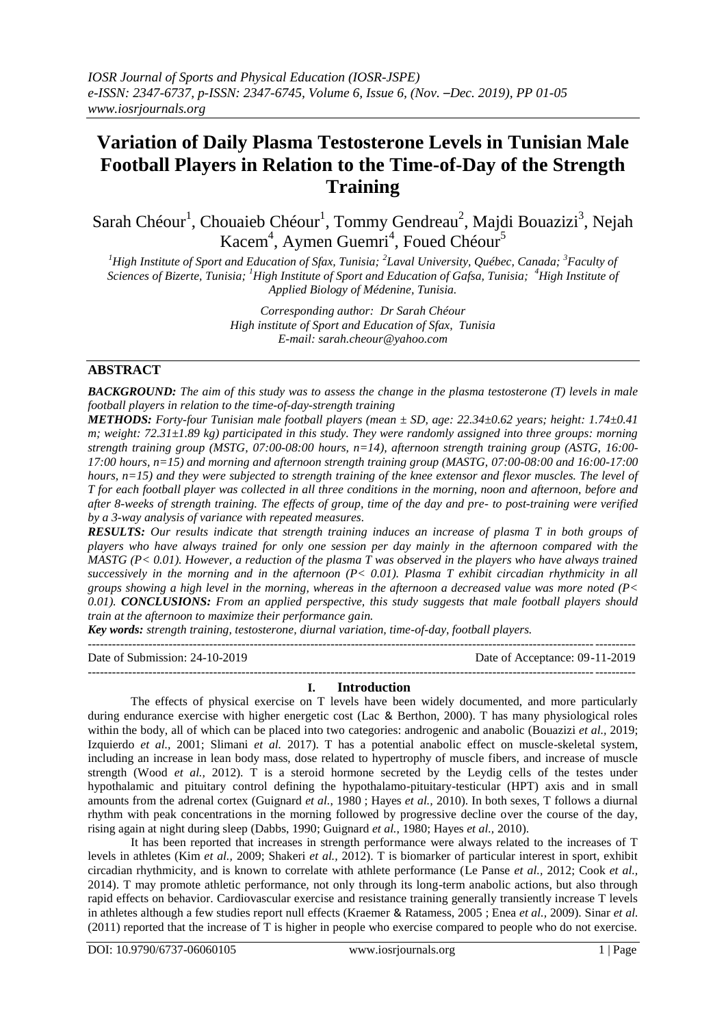# **Variation of Daily Plasma Testosterone Levels in Tunisian Male Football Players in Relation to the Time-of-Day of the Strength Training**

Sarah Chéour<sup>1</sup>, Chouaieb Chéour<sup>1</sup>, Tommy Gendreau<sup>2</sup>, Majdi Bouazizi<sup>3</sup>, Nejah Kacem<sup>4</sup>, Aymen Guemri<sup>4</sup>, Foued Chéour<sup>5</sup>

*<sup>1</sup>High Institute of Sport and Education of Sfax, Tunisia; <sup>2</sup> Laval University, Québec, Canada; <sup>3</sup>Faculty of Sciences of Bizerte, Tunisia; <sup>1</sup>High Institute of Sport and Education of Gafsa, Tunisia; <sup>4</sup>High Institute of Applied Biology of Médenine, Tunisia.*

> *Corresponding author: Dr Sarah Chéour High institute of Sport and Education of Sfax, Tunisia E-mail: sarah.cheour@yahoo.com*

### **ABSTRACT**

*BACKGROUND: The aim of this study was to assess the change in the plasma testosterone (T) levels in male football players in relation to the time-of-day-strength training* 

*METHODS: Forty-four Tunisian male football players (mean ± SD, age: 22.34±0.62 years; height: 1.74±0.41 m; weight: 72.31±1.89 kg) participated in this study. They were randomly assigned into three groups: morning strength training group (MSTG, 07:00-08:00 hours, n=14), afternoon strength training group (ASTG, 16:00- 17:00 hours, n=15) and morning and afternoon strength training group (MASTG, 07:00-08:00 and 16:00-17:00 hours, n=15) and they were subjected to strength training of the knee extensor and flexor muscles. The level of T for each football player was collected in all three conditions in the morning, noon and afternoon, before and after 8-weeks of strength training. The effects of group, time of the day and pre- to post-training were verified by a 3-way analysis of variance with repeated measures.* 

*RESULTS: Our results indicate that strength training induces an increase of plasma T in both groups of players who have always trained for only one session per day mainly in the afternoon compared with the MASTG (P< 0.01). However, a reduction of the plasma T was observed in the players who have always trained successively in the morning and in the afternoon (P< 0.01). Plasma T exhibit circadian rhythmicity in all groups showing a high level in the morning, whereas in the afternoon a decreased value was more noted (P< 0.01). CONCLUSIONS: From an applied perspective, this study suggests that male football players should train at the afternoon to maximize their performance gain.*

*Key words: strength training, testosterone, diurnal variation, time-of-day, football players.* ---------------------------------------------------------------------------------------------------------------------------------------

Date of Submission: 24-10-2019 Date of Acceptance: 09-11-2019  $-1\leq i\leq n-1\leq n-1\leq n-1\leq n-1\leq n-1\leq n-1\leq n-1\leq n-1\leq n-1\leq n-1\leq n-1\leq n-1\leq n-1\leq n-1\leq n-1\leq n-1\leq n-1\leq n-1\leq n-1\leq n-1\leq n-1\leq n-1\leq n-1\leq n-1\leq n-1\leq n-1\leq n-1\leq n-1\leq n-1\leq n-1\leq n-1\leq n-1\leq n-1\leq n-1\leq n-1\leq n$ 

#### **I. Introduction**

The effects of physical exercise on T levels have been widely documented, and more particularly during endurance exercise with higher energetic cost (Lac & Berthon, 2000). T has many physiological roles within the body, all of which can be placed into two categories: androgenic and anabolic (Bouazizi *et al.*, 2019; Izquierdo *et al.,* 2001; Slimani *et al.* 2017). T has a potential anabolic effect on muscle-skeletal system, including an increase in lean body mass, dose related to hypertrophy of muscle fibers, and increase of muscle strength (Wood *et al.,* 2012). T is a steroid hormone secreted by the Leydig cells of the testes under hypothalamic and pituitary control defining the hypothalamo-pituitary-testicular (HPT) axis and in small amounts from the adrenal cortex (Guignard *et al.*, [1980](https://www.ncbi.nlm.nih.gov/pmc/articles/PMC3761508/#ref23) ; Hayes *et al.,* 2010). In both sexes, T follows a diurnal rhythm with peak concentrations in the morning followed by progressive decline over the course of the day, rising again at night during sleep (Dabbs, 1990; Guignard *et al.*, [1980;](https://www.ncbi.nlm.nih.gov/pmc/articles/PMC3761508/#ref23) Hayes *et al.,* 2010).

It has been reported that increases in strength performance were always related to the increases of T levels in athletes (Kim *et al.,* 2009; Shakeri *et al.,* 2012). T is biomarker of particular interest in sport, exhibit circadian rhythmicity, and is known to correlate with athlete performance (Le Panse *et al.,* 2012; Cook *et al.,* 2014). T may promote athletic performance, not only through its long-term anabolic actions, but also through rapid effects on behavior. Cardiovascular exercise and resistance training generally transiently increase T levels in athletes although a few studies report null effects (Kraemer & Ratamess, 2005 ; Enea *et al.,* 2009). Sinar *et al.* (2011) reported that the increase of T is higher in people who exercise compared to people who do not exercise.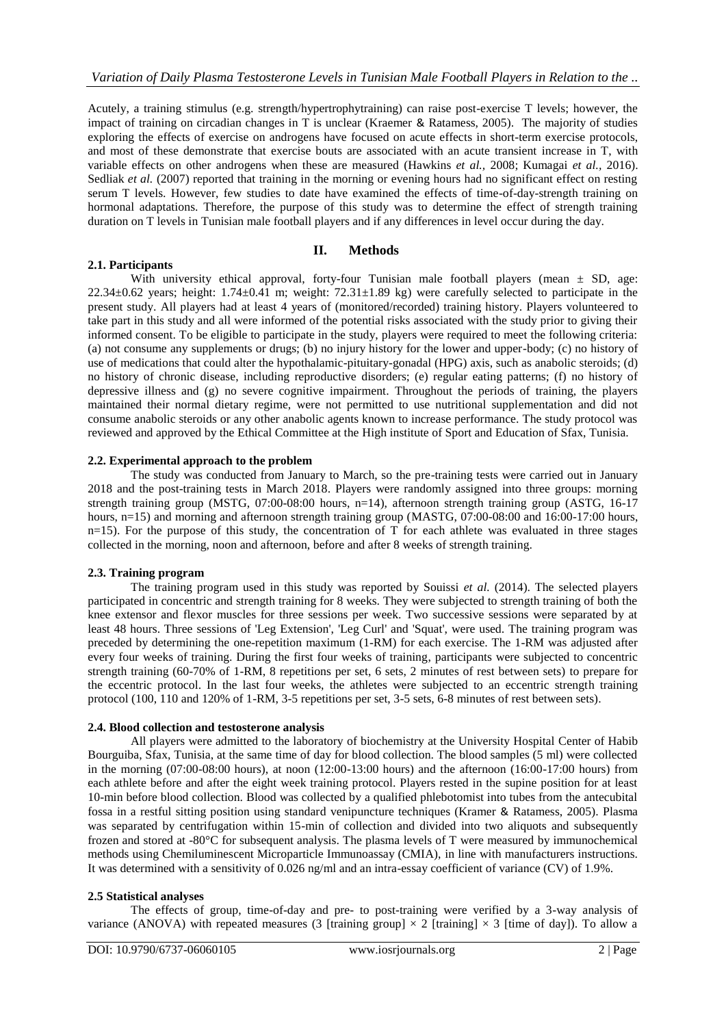Acutely, a training stimulus (e.g. strength/hypertrophytraining) can raise post-exercise T levels; however, the impact of training on circadian changes in T is unclear (Kraemer & Ratamess, 2005). The majority of studies exploring the effects of exercise on androgens have focused on acute effects in short-term exercise protocols, and most of these demonstrate that exercise bouts are associated with an acute transient increase in T, with variable effects on other androgens when these are measured (Hawkins *et al.,* 2008; Kumagai *et al.,* 2016). Sedliak *et al.* (2007) reported that training in the morning or evening hours had no significant effect on resting serum T levels. However, few studies to date have examined the effects of time-of-day-strength training on hormonal adaptations. Therefore, the purpose of this study was to determine the effect of strength training duration on T levels in Tunisian male football players and if any differences in level occur during the day.

## **II. Methods**

With university ethical approval, forty-four Tunisian male football players (mean  $\pm$  SD, age: 22.34 $\pm$ 0.62 years; height: 1.74 $\pm$ 0.41 m; weight: 72.31 $\pm$ 1.89 kg) were carefully selected to participate in the present study. All players had at least 4 years of (monitored/recorded) training history. Players volunteered to take part in this study and all were informed of the potential risks associated with the study prior to giving their informed consent. To be eligible to participate in the study, players were required to meet the following criteria: (a) not consume any supplements or drugs; (b) no injury history for the lower and upper-body; (c) no history of use of medications that could alter the hypothalamic-pituitary-gonadal (HPG) axis, such as anabolic steroids; (d) no history of chronic disease, including reproductive disorders; (e) regular eating patterns; (f) no history of depressive illness and (g) no severe cognitive impairment. Throughout the periods of training, the players maintained their normal dietary regime, were not permitted to use nutritional supplementation and did not consume anabolic steroids or any other anabolic agents known to increase performance. The study protocol was reviewed and approved by the Ethical Committee at the High institute of Sport and Education of Sfax, Tunisia.

#### **2.2. Experimental approach to the problem**

The study was conducted from January to March, so the pre-training tests were carried out in January 2018 and the post-training tests in March 2018. Players were randomly assigned into three groups: morning strength training group (MSTG, 07:00-08:00 hours, n=14), afternoon strength training group (ASTG, 16-17 hours, n=15) and morning and afternoon strength training group (MASTG, 07:00-08:00 and 16:00-17:00 hours,  $n=15$ ). For the purpose of this study, the concentration of T for each athlete was evaluated in three stages collected in the morning, noon and afternoon, before and after 8 weeks of strength training.

#### **2.3. Training program**

**2.1. Participants**

The training program used in this study was reported by Souissi *et al.* (2014). The selected players participated in concentric and strength training for 8 weeks. They were subjected to strength training of both the knee extensor and flexor muscles for three sessions per week. Two successive sessions were separated by at least 48 hours. Three sessions of 'Leg Extension', 'Leg Curl' and 'Squat', were used. The training program was preceded by determining the one-repetition maximum (1-RM) for each exercise. The 1-RM was adjusted after every four weeks of training. During the first four weeks of training, participants were subjected to concentric strength training (60-70% of 1-RM, 8 repetitions per set, 6 sets, 2 minutes of rest between sets) to prepare for the eccentric protocol. In the last four weeks, the athletes were subjected to an eccentric strength training protocol (100, 110 and 120% of 1-RM, 3-5 repetitions per set, 3-5 sets, 6-8 minutes of rest between sets).

#### **2.4. Blood collection and testosterone analysis**

All players were admitted to the laboratory of biochemistry at the University Hospital Center of Habib Bourguiba, Sfax, Tunisia, at the same time of day for blood collection. The blood samples (5 ml) were collected in the morning  $(07:00-08:00$  hours), at noon  $(12:00-13:00$  hours) and the afternoon  $(16:00-17:00$  hours) from each athlete before and after the eight week training protocol. Players rested in the supine position for at least 10-min before blood collection. Blood was collected by a qualified phlebotomist into tubes from the antecubital fossa in a restful sitting position using standard venipuncture techniques (Kramer & Ratamess, 2005). Plasma was separated by centrifugation within 15-min of collection and divided into two aliquots and subsequently frozen and stored at -80°C for subsequent analysis. The plasma levels of T were measured by immunochemical methods using Chemiluminescent Microparticle Immunoassay (CMIA), in line with manufacturers instructions. It was determined with a sensitivity of 0.026 ng/ml and an intra-essay coefficient of variance (CV) of 1.9%.

#### **2.5 Statistical analyses**

The effects of group, time-of-day and pre- to post-training were verified by a 3-way analysis of variance (ANOVA) with repeated measures (3 [training group]  $\times$  2 [training]  $\times$  3 [time of day]). To allow a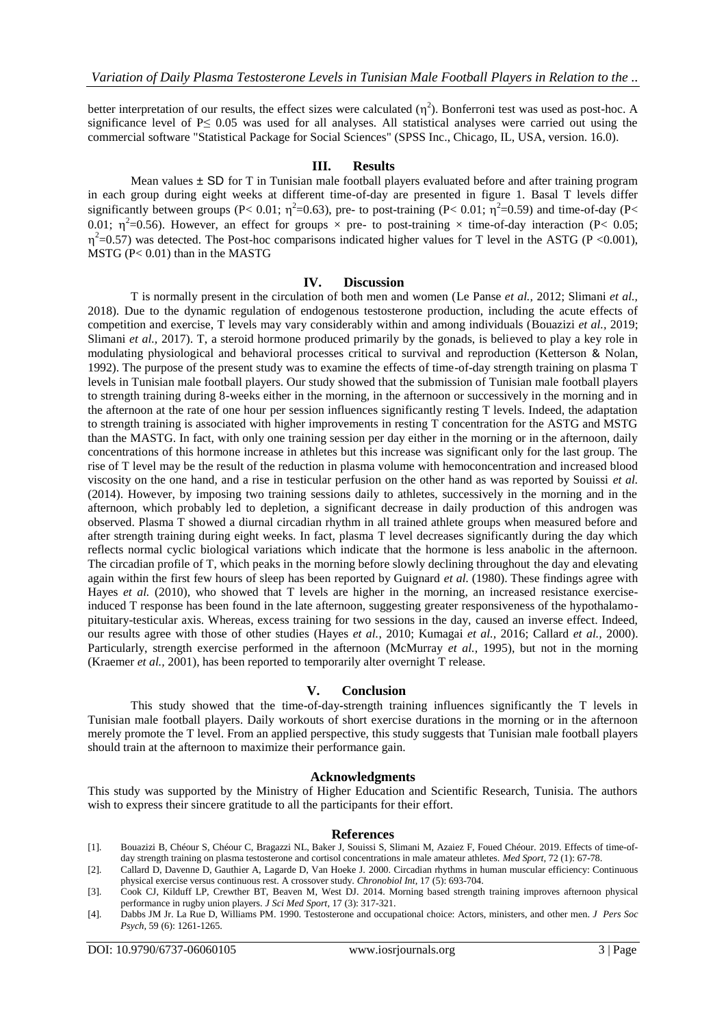better interpretation of our results, the effect sizes were calculated  $(\eta^2)$ . Bonferroni test was used as post-hoc. A significance level of P≤ 0.05 was used for all analyses. All statistical analyses were carried out using the commercial software "Statistical Package for Social Sciences" (SPSS Inc., Chicago, IL, USA, version. 16.0).

#### **III. Results**

Mean values  $\pm$  SD for T in Tunisian male football players evaluated before and after training program in each group during eight weeks at different time-of-day are presented in figure 1. Basal T levels differ significantly between groups (P< 0.01;  $\eta^2$ =0.63), pre- to post-training (P< 0.01;  $\eta^2$ =0.59) and time-of-day (P< 0.01;  $\eta^2$ =0.56). However, an effect for groups  $\times$  pre- to post-training  $\times$  time-of-day interaction (P< 0.05;  $\eta^2$ =0.57) was detected. The Post-hoc comparisons indicated higher values for T level in the ASTG (P <0.001), MSTG (P< 0.01) than in the MASTG

#### **IV. Discussion**

T is normally present in the circulation of both men and women (Le Panse *et al.,* 2012; Slimani *et al.,* 2018). Due to the dynamic regulation of endogenous testosterone production, including the acute effects of competition and exercise, T levels may vary considerably within and among individuals (Bouazizi *et al.,* 2019; Slimani *et al.*, 2017). T, a steroid hormone produced primarily by the gonads, is believed to play a key role in modulating physiological and behavioral processes critical to survival and reproduction (Ketterson & Nolan, 1992). The purpose of the present study was to examine the effects of time-of-day strength training on plasma T levels in Tunisian male football players. Our study showed that the submission of Tunisian male football players to strength training during 8-weeks either in the morning, in the afternoon or successively in the morning and in the afternoon at the rate of one hour per session influences significantly resting T levels. Indeed, the adaptation to strength training is associated with higher improvements in resting T concentration for the ASTG and MSTG than the MASTG. In fact, with only one training session per day either in the morning or in the afternoon, daily concentrations of this hormone increase in athletes but this increase was significant only for the last group. The rise of T level may be the result of the reduction in plasma volume with hemoconcentration and increased blood viscosity on the one hand, and a rise in testicular perfusion on the other hand as was reported by Souissi *et al.*  (2014). However, by imposing two training sessions daily to athletes, successively in the morning and in the afternoon, which probably led to depletion, a significant decrease in daily production of this androgen was observed. Plasma T showed a diurnal circadian rhythm in all trained athlete groups when measured before and after strength training during eight weeks. In fact, plasma T level decreases significantly during the day which reflects normal cyclic biological variations which indicate that the hormone is less anabolic in the afternoon. The circadian profile of T, which peaks in the morning before slowly declining throughout the day and elevating again within the first few hours of sleep has been reported by Guignard *et al.* [\(1980\)](https://www.ncbi.nlm.nih.gov/pmc/articles/PMC3761508/#ref23). These findings agree with Hayes *et al.* (2010), who showed that T levels are higher in the morning, an increased resistance exerciseinduced T response has been found in the late afternoon, suggesting greater responsiveness of the hypothalamopituitary-testicular axis. Whereas, excess training for two sessions in the day, caused an inverse effect. Indeed, our results agree with those of other studies (Hayes *et al.*, 2010; Kumagai *et al.,* 2016; Callard *et al.,* 2000). Particularly, strength exercise performed in the afternoon (McMurray *et al.,* 1995), but not in the morning (Kraemer *et al.,* 2001), has been reported to temporarily alter overnight T release.

#### **V. Conclusion**

This study showed that the time-of-day**-**strength training influences significantly the T levels in Tunisian male football players. Daily workouts of short exercise durations in the morning or in the afternoon merely promote the T level. From an applied perspective, this study suggests that Tunisian male football players should train at the afternoon to maximize their performance gain.

#### **Acknowledgments**

This study was supported by the Ministry of Higher Education and Scientific Research, Tunisia. The authors wish to express their sincere gratitude to all the participants for their effort.

#### **References**

- [1]. Bouazizi B, Chéour S, Chéour C, Bragazzi NL, [Baker](https://research-portal.uws.ac.uk/en/persons/julien-baker) J, Souissi S, Slimani M, Azaiez F, Foued Chéour. 2019. Effects of time-ofday strength training on plasma testosterone and cortisol concentrations in male amateur athletes. *Med Sport,* 72 (1): 67-78.
- [2]. Callard D, Davenne D, Gauthier A, Lagarde D, Van Hoeke J. 2000. Circadian rhythms in human muscular efficiency: Continuous physical exercise versus continuous rest. A crossover study. *Chronobiol Int,* 17 (5): 693-704.

[4]. Dabbs JM Jr. La Rue D, Williams PM. 1990. Testosterone and occupational choice: Actors, ministers, and other men. *J Pers Soc Psych,* 59 (6): 1261-1265.

<sup>[3].</sup> Cook CJ, Kilduff LP, Crewther BT, Beaven M, West DJ. 2014. Morning based strength training improves afternoon physical performance in rugby union players. *J Sci Med Sport,* 17 (3): 317-321.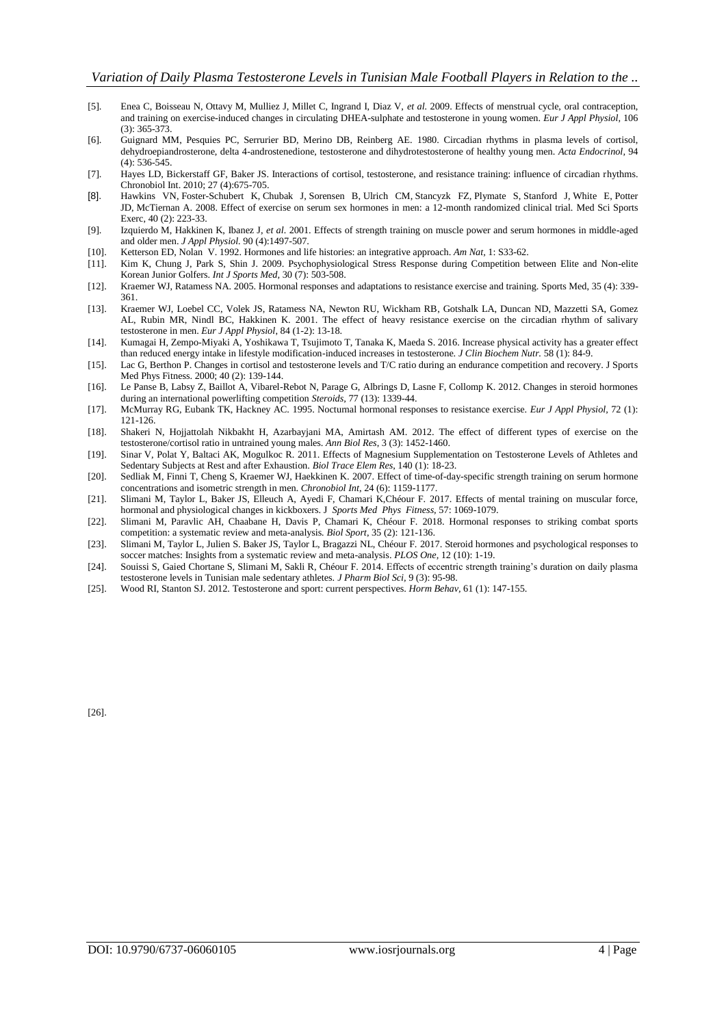- [5]. Enea C, Boisseau N, Ottavy M, Mulliez J, Millet C, Ingrand I, Diaz V, *et al.* 2009. Effects of menstrual cycle, oral contraception, and training on exercise-induced changes in circulating DHEA-sulphate and testosterone in young women. *Eur J Appl Physiol,* 106 (3): 365-373.
- [6]. Guignard MM, Pesquies PC, Serrurier BD, Merino DB, Reinberg AE. 1980. Circadian rhythms in plasma levels of cortisol, dehydroepiandrosterone, delta 4-androstenedione, testosterone and dihydrotestosterone of healthy young men. *Acta Endocrinol,* 94 (4): 536-545.
- [7]. Hayes LD, Bickerstaff GF, Baker JS. Interactions of cortisol, testosterone, and resistance training: influence of circadian rhythms. Chronobiol Int. 2010; 27 (4):675-705.
- [8]. [Hawkins VN,](https://www.ncbi.nlm.nih.gov/pubmed/?term=Hawkins%20VN%5BAuthor%5D&cauthor=true&cauthor_uid=18202581) [Foster-Schubert K,](https://www.ncbi.nlm.nih.gov/pubmed/?term=Foster-Schubert%20K%5BAuthor%5D&cauthor=true&cauthor_uid=18202581) [Chubak J,](https://www.ncbi.nlm.nih.gov/pubmed/?term=Chubak%20J%5BAuthor%5D&cauthor=true&cauthor_uid=18202581) [Sorensen B,](https://www.ncbi.nlm.nih.gov/pubmed/?term=Sorensen%20B%5BAuthor%5D&cauthor=true&cauthor_uid=18202581) [Ulrich CM,](https://www.ncbi.nlm.nih.gov/pubmed/?term=Ulrich%20CM%5BAuthor%5D&cauthor=true&cauthor_uid=18202581) [Stancyzk FZ,](https://www.ncbi.nlm.nih.gov/pubmed/?term=Stancyzk%20FZ%5BAuthor%5D&cauthor=true&cauthor_uid=18202581) [Plymate S,](https://www.ncbi.nlm.nih.gov/pubmed/?term=Plymate%20S%5BAuthor%5D&cauthor=true&cauthor_uid=18202581) [Stanford J,](https://www.ncbi.nlm.nih.gov/pubmed/?term=Stanford%20J%5BAuthor%5D&cauthor=true&cauthor_uid=18202581) [White E,](https://www.ncbi.nlm.nih.gov/pubmed/?term=White%20E%5BAuthor%5D&cauthor=true&cauthor_uid=18202581) [Potter](https://www.ncbi.nlm.nih.gov/pubmed/?term=Potter%20JD%5BAuthor%5D&cauthor=true&cauthor_uid=18202581)  [JD,](https://www.ncbi.nlm.nih.gov/pubmed/?term=Potter%20JD%5BAuthor%5D&cauthor=true&cauthor_uid=18202581) [McTiernan A.](https://www.ncbi.nlm.nih.gov/pubmed/?term=McTiernan%20A%5BAuthor%5D&cauthor=true&cauthor_uid=18202581) 2008. Effect of exercise on serum sex hormones in men: a 12-month randomized clinical trial[. Med Sci Sports](https://www.ncbi.nlm.nih.gov/pubmed/18202581)  [Exerc,](https://www.ncbi.nlm.nih.gov/pubmed/18202581) 40 (2): 223-33.
- [9]. Izquierdo M, Hakkinen K, Ibanez J, *et al.* 2001. Effects of strength training on muscle power and serum hormones in middle-aged and older men. *J Appl Physiol.* 90 (4):1497-507.
- [10]. Ketterson ED, Nolan V. 1992. Hormones and life histories: an integrative approach. *Am Nat,* 1: S33-62.
- [11]. Kim K, Chung J, Park S, Shin J. 2009. Psychophysiological Stress Response during Competition between Elite and Non-elite Korean Junior Golfers. *Int J Sports Med,* 30 (7): 503-508.
- [12]. Kraemer WJ, Ratamess NA. 2005. Hormonal responses and adaptations to resistance exercise and training. Sports Med, 35 (4): 339- 361.
- [13]. Kraemer WJ, Loebel CC, Volek JS, Ratamess NA, Newton RU, Wickham RB, Gotshalk LA, Duncan ND, Mazzetti SA, Gomez AL, Rubin MR, Nindl BC, Hakkinen K. 2001. The effect of heavy resistance exercise on the circadian rhythm of salivary testosterone in men. *Eur J Appl Physiol*, 84 (1-2): 13-18.
- [14]. [Kumagai H,](https://www.ncbi.nlm.nih.gov/pubmed/?term=Kumagai%20H%5BAuthor%5D&cauthor=true&cauthor_uid=26798202) [Zempo-Miyaki A,](https://www.ncbi.nlm.nih.gov/pubmed/?term=Zempo-Miyaki%20A%5BAuthor%5D&cauthor=true&cauthor_uid=26798202) [Yoshikawa T,](https://www.ncbi.nlm.nih.gov/pubmed/?term=Yoshikawa%20T%5BAuthor%5D&cauthor=true&cauthor_uid=26798202) [Tsujimoto T,](https://www.ncbi.nlm.nih.gov/pubmed/?term=Tsujimoto%20T%5BAuthor%5D&cauthor=true&cauthor_uid=26798202) [Tanaka K,](https://www.ncbi.nlm.nih.gov/pubmed/?term=Tanaka%20K%5BAuthor%5D&cauthor=true&cauthor_uid=26798202) [Maeda S.](https://www.ncbi.nlm.nih.gov/pubmed/?term=Maeda%20S%5BAuthor%5D&cauthor=true&cauthor_uid=26798202) 2016. Increase physical activity has a greater effect than reduced energy intake in lifestyle modification-induced increases in testosterone. *[J Clin Biochem Nutr.](https://www.ncbi.nlm.nih.gov/pubmed/26798202)* 58 (1): 84-9.
- [15]. Lac G, Berthon P. Changes in cortisol and testosterone levels and T/C ratio during an endurance competition and recovery. J Sports Med Phys Fitness. 2000; 40 (2): 139-144.
- [16]. Le Panse B, Labsy Z, Baillot A, Vibarel-Rebot N, Parage G, Albrings D, Lasne F, Collomp K. 2012. Changes in steroid hormones during an international powerlifting competition *Steroids,* 77 (13): 1339-44.
- [17]. McMurray RG, Eubank TK, Hackney AC. 1995. Nocturnal hormonal responses to resistance exercise. *Eur J Appl Physiol,* 72 (1): 121-126.
- [18]. Shakeri N, Hojjattolah Nikbakht H, Azarbayjani MA, Amirtash AM. 2012. The effect of different types of exercise on the testosterone/cortisol ratio in untrained young males. *Ann Biol Res*, 3 (3): 1452-1460.
- [19]. Sinar V, Polat Y, Baltaci AK, Mogulkoc R. 2011. Effects of Magnesium Supplementation on Testosterone Levels of Athletes and Sedentary Subjects at Rest and after Exhaustion. *Biol Trace Elem Res*, 140 (1): 18-23.
- [20]. Sedliak M, Finni T, Cheng S, Kraemer WJ, Haekkinen K. 2007. Effect of time-of-day-specific strength training on serum hormone concentrations and isometric strength in men. *Chronobiol Int,* 24 (6): 1159-1177.
- [21]. Slimani M, Taylor L, Baker JS, Elleuch A, Ayedi F, Chamari K,Chéour F. 2017. Effects of mental training on muscular force, hormonal and physiological changes in kickboxers. J *Sports Med Phys Fitness,* 57: 1069-1079.
- [22]. Slimani M, Paravlic AH, Chaabane H, Davis P, Chamari K, Chéour F. 2018. Hormonal responses to striking combat sports competition: a systematic review and meta-analysis*. Biol Sport*, 35 (2): 121-136.
- [23]. Slimani M, Taylor L, Julien S. Baker JS, Taylor L, Bragazzi NL, Chéour F. 2017. Steroid hormones and psychological responses to soccer matches: Insights from a systematic review and meta-analysis. *PLOS One,* 12 (10): 1-19.
- [24]. Souissi S, Gaied Chortane S, Slimani M, Sakli R, Chéour F. 2014. Effects of eccentric strength training's duration on daily plasma testosterone levels in Tunisian male sedentary athletes. *J Pharm Biol Sci,* 9 (3): 95-98.
- [25]. Wood RI, Stanton SJ. 2012. Testosterone and sport: current perspectives. *Horm Behav,* [61 \(1\): 147-155.](https://www.ncbi.nlm.nih.gov/entrez/eutils/elink.fcgi?dbfrom=pubmed&retmode=ref&cmd=prlinks&id=21983229)

[26].